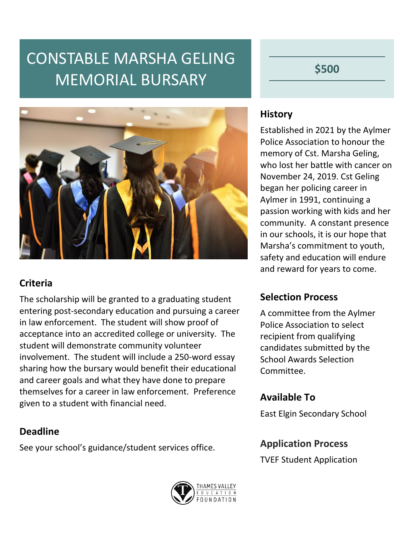# CONSTABLE MARSHA GELING MEMORIAL BURSARY

**\$500**



### **Criteria**

The scholarship will be granted to a graduating student entering post-secondary education and pursuing a career in law enforcement. The student will show proof of acceptance into an accredited college or university. The student will demonstrate community volunteer involvement. The student will include a 250-word essay sharing how the bursary would benefit their educational and career goals and what they have done to prepare themselves for a career in law enforcement. Preference given to a student with financial need.

### **Deadline**

See your school's guidance/student services office.

#### **History**

Established in 2021 by the Aylmer Police Association to honour the memory of Cst. Marsha Geling, who lost her battle with cancer on November 24, 2019. Cst Geling began her policing career in Aylmer in 1991, continuing a passion working with kids and her community. A constant presence in our schools, it is our hope that Marsha's commitment to youth, safety and education will endure and reward for years to come.

### **Selection Process**

A committee from the Aylmer Police Association to select recipient from qualifying candidates submitted by the School Awards Selection Committee.

### **Available To**

East Elgin Secondary School

### **Application Process**

TVEF Student Application